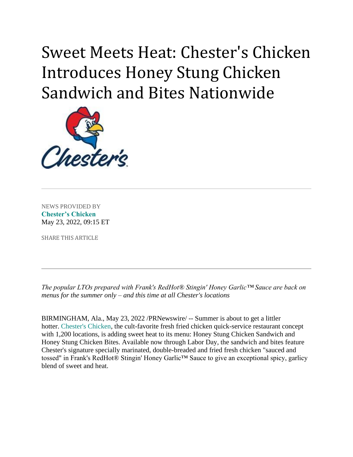## Sweet Meets Heat: Chester's Chicken Introduces Honey Stung Chicken Sandwich and Bites Nationwide



NEWS PROVIDED BY **[Chester's Chicken](https://www.prnewswire.com/news/chester%E2%80%99s-chicken/)** May 23, 2022, 09:15 ET

SHARE THIS ARTICLE

*The popular LTOs prepared with Frank's RedHot® Stingin' Honey Garlic™ Sauce are back on menus for the summer only – and this time at all Chester's locations*

BIRMINGHAM, Ala., May 23, 2022 /PRNewswire/ -- Summer is about to get a littler hotter. [Chester's Chicken,](https://c212.net/c/link/?t=0&l=en&o=3544035-1&h=3970509960&u=https%3A%2F%2Fwww.chesterschicken.com%2F&a=Chester%27s+Chicken) the cult-favorite fresh fried chicken quick-service restaurant concept with 1,200 locations, is adding sweet heat to its menu: Honey Stung Chicken Sandwich and Honey Stung Chicken Bites. Available now through Labor Day, the sandwich and bites feature Chester's signature specially marinated, double-breaded and fried fresh chicken "sauced and tossed" in Frank's RedHot® Stingin' Honey Garlic™ Sauce to give an exceptional spicy, garlicy blend of sweet and heat.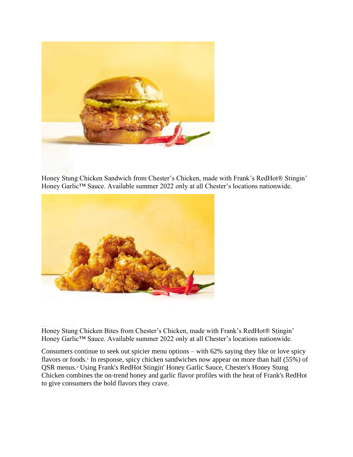

Honey Stung Chicken Sandwich from Chester's Chicken, made with Frank's RedHot® Stingin' Honey Garlic™ Sauce. Available summer 2022 only at all Chester's locations nationwide.



Honey Stung Chicken Bites from Chester's Chicken, made with Frank's RedHot® Stingin' Honey Garlic™ Sauce. Available summer 2022 only at all Chester's locations nationwide.

Consumers continue to seek out spicier menu options – with 62% saying they like or love spicy flavors or foods.<sup>1</sup> In response, spicy chicken sandwiches now appear on more than half (55%) of QSR menus.<sup>2</sup> Using Frank's RedHot Stingin' Honey Garlic Sauce, Chester's Honey Stung Chicken combines the on-trend honey and garlic flavor profiles with the heat of Frank's RedHot to give consumers the bold flavors they crave.